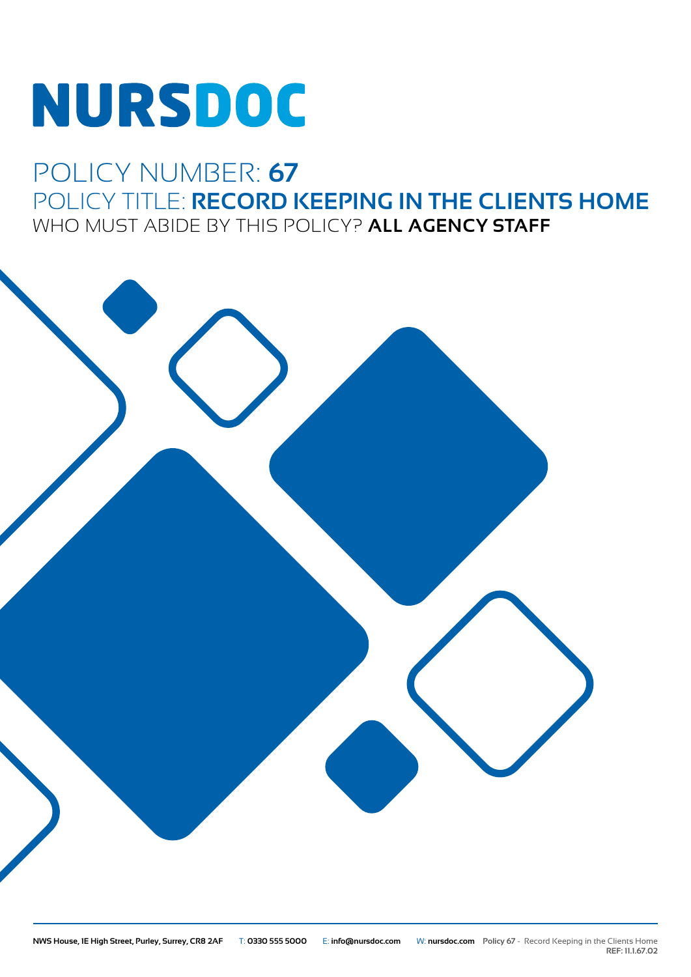# NURSDOC

## POLICY NUMBER: **67** POLICY TITLE: **RECORD KEEPING IN THE CLIENTS HOME** WHO MUST ABIDE BY THIS POLICY? **ALL AGENCY STAFF**



**REF: 11.1.67.02**